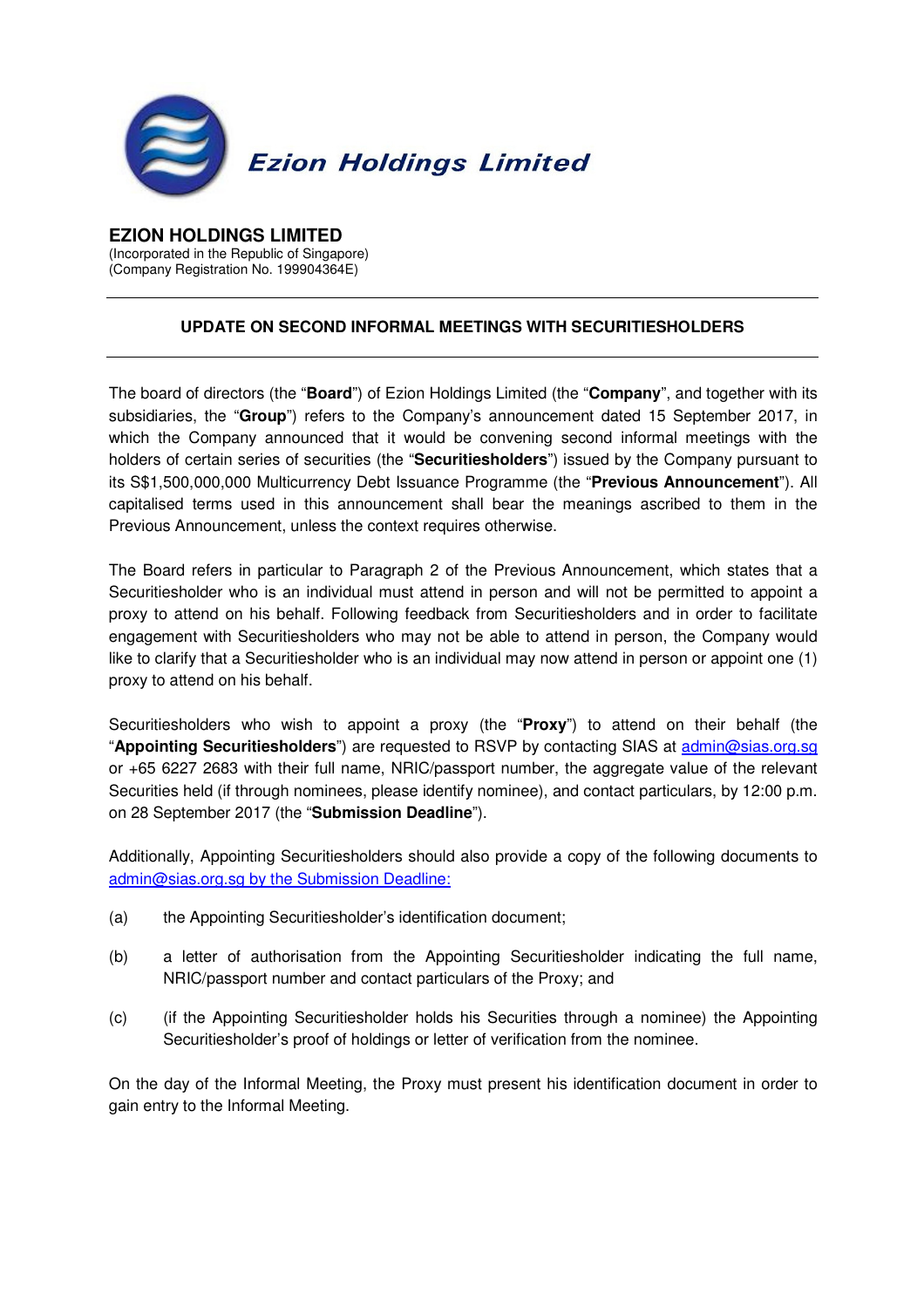

## **EZION HOLDINGS LIMITED**

(Incorporated in the Republic of Singapore) (Company Registration No. 199904364E) ľ

## **UPDATE ON SECOND INFORMAL MEETINGS WITH SECURITIESHOLDERS**

The board of directors (the "**Board**") of Ezion Holdings Limited (the "**Company**", and together with its subsidiaries, the "**Group**") refers to the Company's announcement dated 15 September 2017, in which the Company announced that it would be convening second informal meetings with the holders of certain series of securities (the "**Securitiesholders**") issued by the Company pursuant to its S\$1,500,000,000 Multicurrency Debt Issuance Programme (the "**Previous Announcement**"). All capitalised terms used in this announcement shall bear the meanings ascribed to them in the Previous Announcement, unless the context requires otherwise.

The Board refers in particular to Paragraph 2 of the Previous Announcement, which states that a Securitiesholder who is an individual must attend in person and will not be permitted to appoint a proxy to attend on his behalf. Following feedback from Securitiesholders and in order to facilitate engagement with Securitiesholders who may not be able to attend in person, the Company would like to clarify that a Securitiesholder who is an individual may now attend in person or appoint one (1) proxy to attend on his behalf.

Securitiesholders who wish to appoint a proxy (the "**Proxy**") to attend on their behalf (the "**Appointing Securitiesholders**") are requested to RSVP by contacting SIAS at admin@sias.org.sg or +65 6227 2683 with their full name, NRIC/passport number, the aggregate value of the relevant Securities held (if through nominees, please identify nominee), and contact particulars, by 12:00 p.m. on 28 September 2017 (the "**Submission Deadline**").

Additionally, Appointing Securitiesholders should also provide a copy of the following documents to admin@sias.org.sg by the Submission Deadline:

- (a) the Appointing Securitiesholder's identification document;
- (b) a letter of authorisation from the Appointing Securitiesholder indicating the full name, NRIC/passport number and contact particulars of the Proxy; and
- (c) (if the Appointing Securitiesholder holds his Securities through a nominee) the Appointing Securitiesholder's proof of holdings or letter of verification from the nominee.

On the day of the Informal Meeting, the Proxy must present his identification document in order to gain entry to the Informal Meeting.